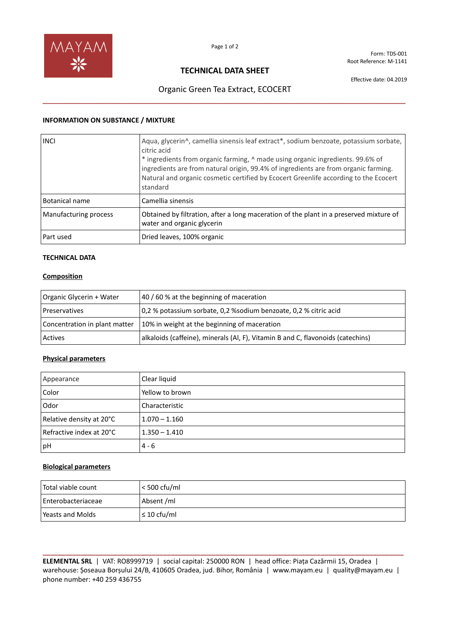

Form: TDS-001 Root Reference: M-1141

# **TECHNICAL DATA SHEET**

Effective date: 04.2019

# Organic Green Tea Extract, ECOCERT **\_\_\_\_\_\_\_\_\_\_\_\_\_\_\_\_\_\_\_\_\_\_\_\_\_\_\_\_\_\_\_\_\_\_\_\_\_\_\_\_\_\_\_\_\_\_\_\_\_\_\_\_\_\_\_\_\_\_\_\_\_\_\_\_\_\_\_\_\_\_\_\_\_\_\_\_\_\_\_\_**

### **INFORMATION ON SUBSTANCE / MIXTURE**

| <b>INCI</b>           | Aqua, glycerin^, camellia sinensis leaf extract*, sodium benzoate, potassium sorbate,<br>citric acid<br>* ingredients from organic farming, $\land$ made using organic ingredients. 99.6% of<br>ingredients are from natural origin, 99.4% of ingredients are from organic farming.<br>Natural and organic cosmetic certified by Ecocert Greenlife according to the Ecocert<br>standard |
|-----------------------|-----------------------------------------------------------------------------------------------------------------------------------------------------------------------------------------------------------------------------------------------------------------------------------------------------------------------------------------------------------------------------------------|
| <b>Botanical name</b> | Camellia sinensis                                                                                                                                                                                                                                                                                                                                                                       |
| Manufacturing process | Obtained by filtration, after a long maceration of the plant in a preserved mixture of<br>water and organic glycerin                                                                                                                                                                                                                                                                    |
| Part used             | Dried leaves, 100% organic                                                                                                                                                                                                                                                                                                                                                              |

### **TECHNICAL DATA**

### **Composition**

| Organic Glycerin + Water      | 40 / 60 % at the beginning of maceration                                        |
|-------------------------------|---------------------------------------------------------------------------------|
| Preservatives                 | 0,2 % potassium sorbate, 0,2 % sodium benzoate, 0,2 % citric acid               |
| Concentration in plant matter | 10% in weight at the beginning of maceration                                    |
| <b>Actives</b>                | alkaloids (caffeine), minerals (Al, F), Vitamin B and C, flavonoids (catechins) |

#### **Physical parameters**

| Appearance               | Clear liquid    |
|--------------------------|-----------------|
| Color                    | Yellow to brown |
| Odor                     | Characteristic  |
| Relative density at 20°C | $1.070 - 1.160$ |
| Refractive index at 20°C | 1.350 – 1.410   |
| pH                       | $4 - 6$         |

### **Biological parameters**

| Total viable count   | < 500 cfu/ml     |
|----------------------|------------------|
| l Enterobacteriaceae | Absent /ml       |
| Yeasts and Molds     | $\leq 10$ cfu/ml |

**\_\_\_\_\_\_\_\_\_\_\_\_\_\_\_\_\_\_\_\_\_\_\_\_\_\_\_\_\_\_\_\_\_\_\_\_\_\_\_\_\_\_\_\_\_\_\_\_\_\_\_\_\_\_\_\_\_\_\_\_\_\_\_\_\_\_\_\_\_\_\_\_\_\_\_\_\_\_\_\_\_\_\_\_\_\_\_\_\_\_\_\_\_\_\_\_ ELEMENTAL SRL** | VAT: RO8999719 | social capital: 250000 RON | head office: Piața Cazărmii 15, Oradea | warehouse: Șoseaua Borșului 24/B, 410605 Oradea, jud. Bihor, România | www.mayam.eu | quality@mayam.eu | phone number: +40 259 436755